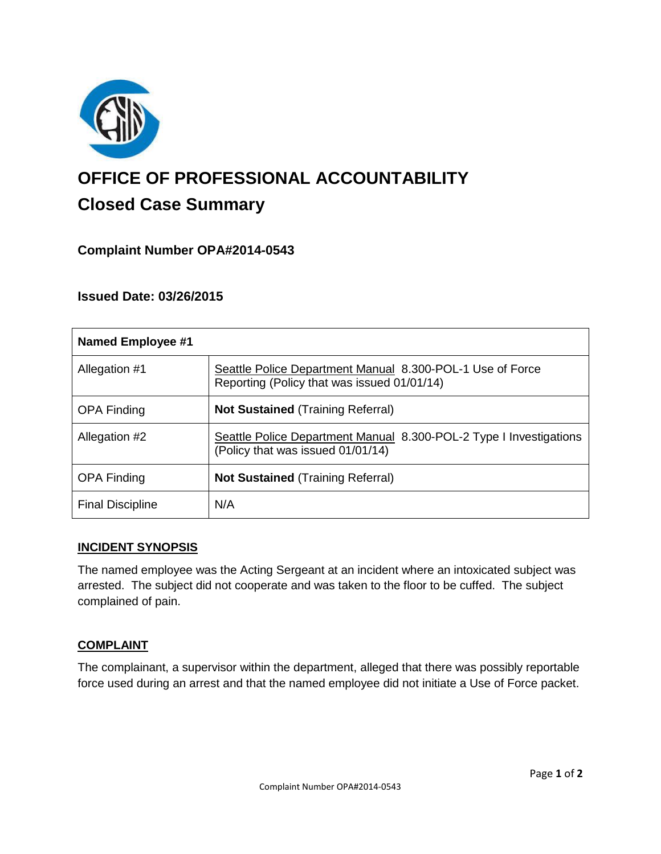

# **OFFICE OF PROFESSIONAL ACCOUNTABILITY Closed Case Summary**

# **Complaint Number OPA#2014-0543**

## **Issued Date: 03/26/2015**

| <b>Named Employee #1</b> |                                                                                                          |
|--------------------------|----------------------------------------------------------------------------------------------------------|
| Allegation #1            | Seattle Police Department Manual 8.300-POL-1 Use of Force<br>Reporting (Policy that was issued 01/01/14) |
| <b>OPA Finding</b>       | <b>Not Sustained (Training Referral)</b>                                                                 |
| Allegation #2            | Seattle Police Department Manual 8.300-POL-2 Type I Investigations<br>(Policy that was issued 01/01/14)  |
| <b>OPA Finding</b>       | <b>Not Sustained (Training Referral)</b>                                                                 |
| <b>Final Discipline</b>  | N/A                                                                                                      |

#### **INCIDENT SYNOPSIS**

The named employee was the Acting Sergeant at an incident where an intoxicated subject was arrested. The subject did not cooperate and was taken to the floor to be cuffed. The subject complained of pain.

#### **COMPLAINT**

The complainant, a supervisor within the department, alleged that there was possibly reportable force used during an arrest and that the named employee did not initiate a Use of Force packet.